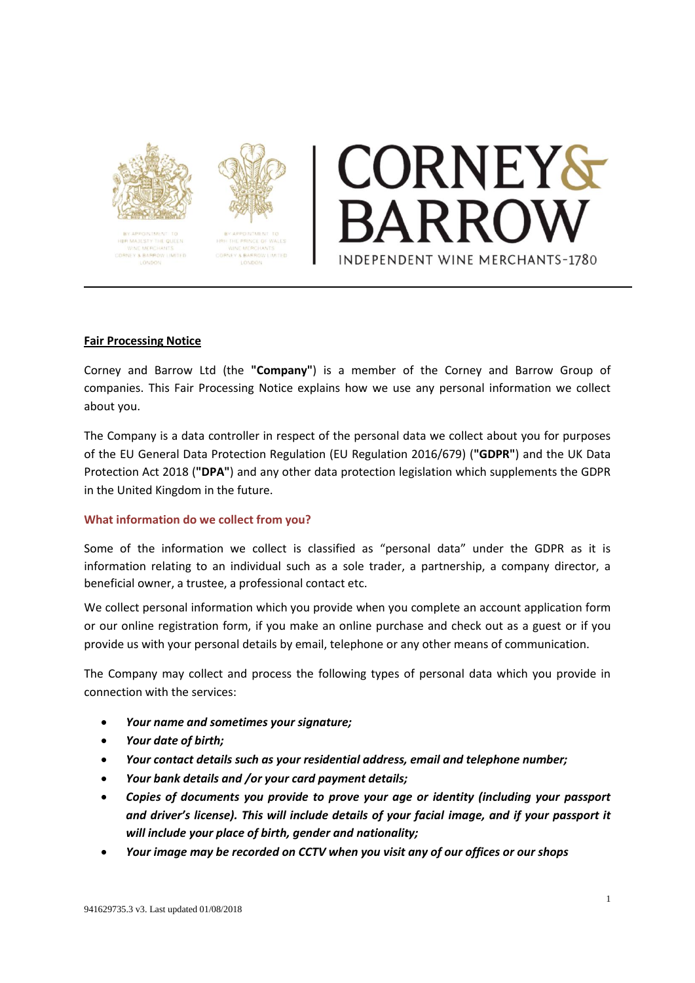



# DRNEY& INDEPENDENT WINE MERCHANTS-1780

# **Fair Processing Notice**

Corney and Barrow Ltd (the **"Company"**) is a member of the Corney and Barrow Group of companies. This Fair Processing Notice explains how we use any personal information we collect about you.

The Company is a data controller in respect of the personal data we collect about you for purposes of the EU General Data Protection Regulation (EU Regulation 2016/679) (**"GDPR"**) and the UK Data Protection Act 2018 (**"DPA"**) and any other data protection legislation which supplements the GDPR in the United Kingdom in the future.

## **What information do we collect from you?**

Some of the information we collect is classified as "personal data" under the GDPR as it is information relating to an individual such as a sole trader, a partnership, a company director, a beneficial owner, a trustee, a professional contact etc.

We collect personal information which you provide when you complete an account application form or our online registration form, if you make an online purchase and check out as a guest or if you provide us with your personal details by email, telephone or any other means of communication.

The Company may collect and process the following types of personal data which you provide in connection with the services:

- *Your name and sometimes your signature;*
- *Your date of birth;*
- *Your contact details such as your residential address, email and telephone number;*
- *Your bank details and /or your card payment details;*
- *Copies of documents you provide to prove your age or identity (including your passport and driver's license). This will include details of your facial image, and if your passport it will include your place of birth, gender and nationality;*
- *Your image may be recorded on CCTV when you visit any of our offices or our shops*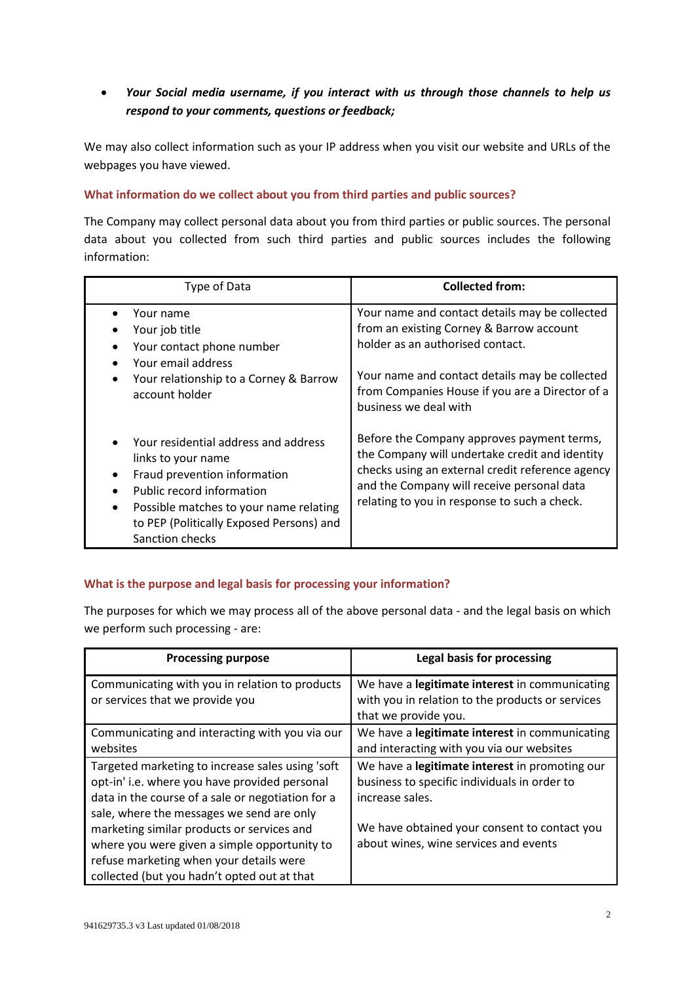# *Your Social media username, if you interact with us through those channels to help us respond to your comments, questions or feedback;*

We may also collect information such as your IP address when you visit our website and URLs of the webpages you have viewed.

## **What information do we collect about you from third parties and public sources?**

The Company may collect personal data about you from third parties or public sources. The personal data about you collected from such third parties and public sources includes the following information:

| Type of Data                                                                                                                                                                                                                     | <b>Collected from:</b>                                                                                                                                                                                                                                       |
|----------------------------------------------------------------------------------------------------------------------------------------------------------------------------------------------------------------------------------|--------------------------------------------------------------------------------------------------------------------------------------------------------------------------------------------------------------------------------------------------------------|
| Your name<br>Your job title<br>Your contact phone number<br>Your email address<br>Your relationship to a Corney & Barrow<br>٠<br>account holder                                                                                  | Your name and contact details may be collected<br>from an existing Corney & Barrow account<br>holder as an authorised contact.<br>Your name and contact details may be collected<br>from Companies House if you are a Director of a<br>business we deal with |
| Your residential address and address<br>links to your name<br>Fraud prevention information<br>Public record information<br>Possible matches to your name relating<br>to PEP (Politically Exposed Persons) and<br>Sanction checks | Before the Company approves payment terms,<br>the Company will undertake credit and identity<br>checks using an external credit reference agency<br>and the Company will receive personal data<br>relating to you in response to such a check.               |

# **What is the purpose and legal basis for processing your information?**

The purposes for which we may process all of the above personal data - and the legal basis on which we perform such processing - are:

| <b>Processing purpose</b>                         | Legal basis for processing                       |
|---------------------------------------------------|--------------------------------------------------|
| Communicating with you in relation to products    | We have a legitimate interest in communicating   |
| or services that we provide you                   | with you in relation to the products or services |
|                                                   | that we provide you.                             |
| Communicating and interacting with you via our    | We have a legitimate interest in communicating   |
| websites                                          | and interacting with you via our websites        |
| Targeted marketing to increase sales using 'soft  | We have a legitimate interest in promoting our   |
| opt-in' i.e. where you have provided personal     | business to specific individuals in order to     |
| data in the course of a sale or negotiation for a | increase sales.                                  |
| sale, where the messages we send are only         |                                                  |
| marketing similar products or services and        | We have obtained your consent to contact you     |
| where you were given a simple opportunity to      | about wines, wine services and events            |
| refuse marketing when your details were           |                                                  |
| collected (but you hadn't opted out at that       |                                                  |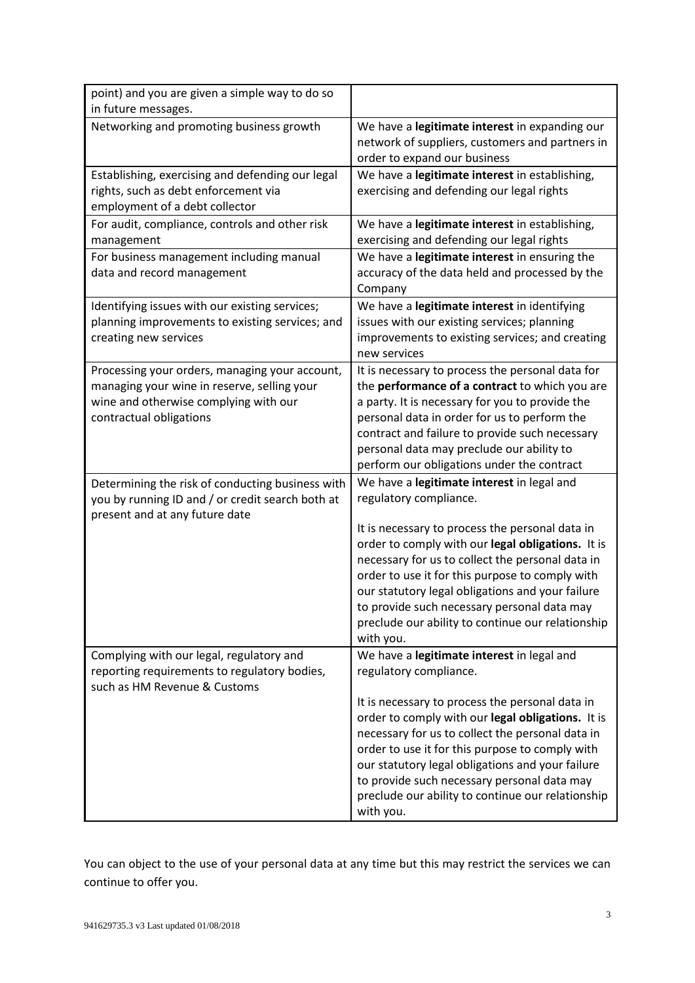| point) and you are given a simple way to do so<br>in future messages.                                                                                             |                                                                                                                                                                                                                                                                                                                                                                                  |
|-------------------------------------------------------------------------------------------------------------------------------------------------------------------|----------------------------------------------------------------------------------------------------------------------------------------------------------------------------------------------------------------------------------------------------------------------------------------------------------------------------------------------------------------------------------|
| Networking and promoting business growth                                                                                                                          | We have a legitimate interest in expanding our<br>network of suppliers, customers and partners in<br>order to expand our business                                                                                                                                                                                                                                                |
| Establishing, exercising and defending our legal<br>rights, such as debt enforcement via<br>employment of a debt collector                                        | We have a legitimate interest in establishing,<br>exercising and defending our legal rights                                                                                                                                                                                                                                                                                      |
| For audit, compliance, controls and other risk<br>management                                                                                                      | We have a legitimate interest in establishing,<br>exercising and defending our legal rights                                                                                                                                                                                                                                                                                      |
| For business management including manual<br>data and record management                                                                                            | We have a legitimate interest in ensuring the<br>accuracy of the data held and processed by the<br>Company                                                                                                                                                                                                                                                                       |
| Identifying issues with our existing services;<br>planning improvements to existing services; and<br>creating new services                                        | We have a legitimate interest in identifying<br>issues with our existing services; planning<br>improvements to existing services; and creating<br>new services                                                                                                                                                                                                                   |
| Processing your orders, managing your account,<br>managing your wine in reserve, selling your<br>wine and otherwise complying with our<br>contractual obligations | It is necessary to process the personal data for<br>the performance of a contract to which you are<br>a party. It is necessary for you to provide the<br>personal data in order for us to perform the<br>contract and failure to provide such necessary<br>personal data may preclude our ability to<br>perform our obligations under the contract                               |
| Determining the risk of conducting business with<br>you by running ID and / or credit search both at<br>present and at any future date                            | We have a legitimate interest in legal and<br>regulatory compliance.                                                                                                                                                                                                                                                                                                             |
|                                                                                                                                                                   | It is necessary to process the personal data in<br>order to comply with our legal obligations. It is<br>necessary for us to collect the personal data in<br>order to use it for this purpose to comply with<br>our statutory legal obligations and your failure<br>to provide such necessary personal data may<br>preclude our ability to continue our relationship<br>with you. |
| Complying with our legal, regulatory and<br>reporting requirements to regulatory bodies,<br>such as HM Revenue & Customs                                          | We have a legitimate interest in legal and<br>regulatory compliance.                                                                                                                                                                                                                                                                                                             |
|                                                                                                                                                                   | It is necessary to process the personal data in<br>order to comply with our legal obligations. It is<br>necessary for us to collect the personal data in<br>order to use it for this purpose to comply with<br>our statutory legal obligations and your failure<br>to provide such necessary personal data may<br>preclude our ability to continue our relationship<br>with you. |

You can object to the use of your personal data at any time but this may restrict the services we can continue to offer you.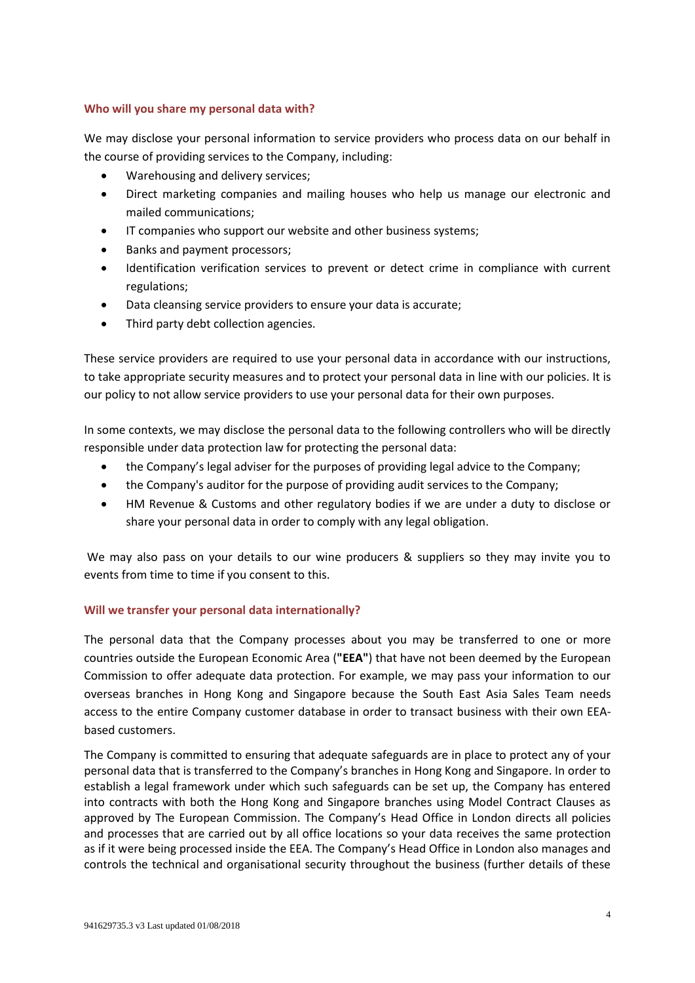## **Who will you share my personal data with?**

We may disclose your personal information to service providers who process data on our behalf in the course of providing services to the Company, including:

- Warehousing and delivery services;
- Direct marketing companies and mailing houses who help us manage our electronic and mailed communications;
- **IF companies who support our website and other business systems;**
- Banks and payment processors;
- Identification verification services to prevent or detect crime in compliance with current regulations;
- Data cleansing service providers to ensure your data is accurate;
- Third party debt collection agencies.

These service providers are required to use your personal data in accordance with our instructions, to take appropriate security measures and to protect your personal data in line with our policies. It is our policy to not allow service providers to use your personal data for their own purposes.

In some contexts, we may disclose the personal data to the following controllers who will be directly responsible under data protection law for protecting the personal data:

- the Company's legal adviser for the purposes of providing legal advice to the Company;
- the Company's auditor for the purpose of providing audit services to the Company;
- HM Revenue & Customs and other regulatory bodies if we are under a duty to disclose or share your personal data in order to comply with any legal obligation.

We may also pass on your details to our wine producers & suppliers so they may invite you to events from time to time if you consent to this.

# **Will we transfer your personal data internationally?**

The personal data that the Company processes about you may be transferred to one or more countries outside the European Economic Area (**"EEA"**) that have not been deemed by the European Commission to offer adequate data protection. For example, we may pass your information to our overseas branches in Hong Kong and Singapore because the South East Asia Sales Team needs access to the entire Company customer database in order to transact business with their own EEAbased customers.

The Company is committed to ensuring that adequate safeguards are in place to protect any of your personal data that is transferred to the Company's branches in Hong Kong and Singapore. In order to establish a legal framework under which such safeguards can be set up, the Company has entered into contracts with both the Hong Kong and Singapore branches using Model Contract Clauses as approved by The European Commission. The Company's Head Office in London directs all policies and processes that are carried out by all office locations so your data receives the same protection as if it were being processed inside the EEA. The Company's Head Office in London also manages and controls the technical and organisational security throughout the business (further details of these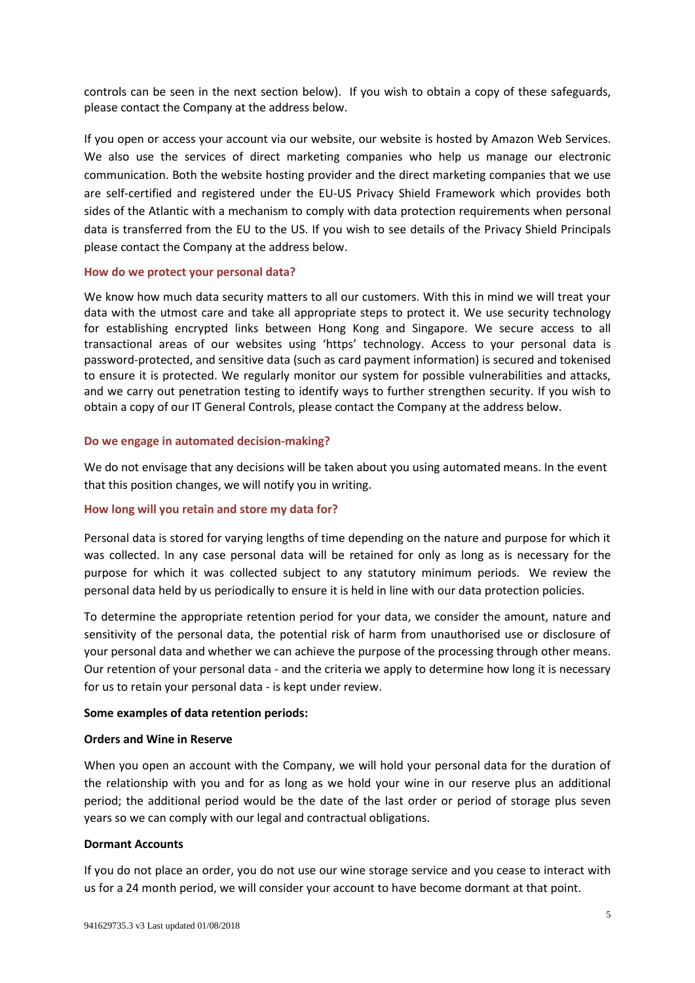controls can be seen in the next section below). If you wish to obtain a copy of these safeguards, please contact the Company at the address below.

If you open or access your account via our website, our website is hosted by Amazon Web Services. We also use the services of direct marketing companies who help us manage our electronic communication. Both the website hosting provider and the direct marketing companies that we use are self-certified and registered under the EU-US Privacy Shield Framework which provides both sides of the Atlantic with a mechanism to comply with data protection requirements when personal data is transferred from the EU to the US. If you wish to see details of the Privacy Shield Principals please contact the Company at the address below.

#### **How do we protect your personal data?**

We know how much data security matters to all our customers. With this in mind we will treat your data with the utmost care and take all appropriate steps to protect it. We use security technology for establishing encrypted links between Hong Kong and Singapore. We secure access to all transactional areas of our websites using 'https' technology. Access to your personal data is password-protected, and sensitive data (such as card payment information) is secured and tokenised to ensure it is protected. We regularly monitor our system for possible vulnerabilities and attacks, and we carry out penetration testing to identify ways to further strengthen security. If you wish to obtain a copy of our IT General Controls, please contact the Company at the address below.

#### **Do we engage in automated decision-making?**

We do not envisage that any decisions will be taken about you using automated means. In the event that this position changes, we will notify you in writing**.**

#### **How long will you retain and store my data for?**

Personal data is stored for varying lengths of time depending on the nature and purpose for which it was collected. In any case personal data will be retained for only as long as is necessary for the purpose for which it was collected subject to any statutory minimum periods. We review the personal data held by us periodically to ensure it is held in line with our data protection policies.

To determine the appropriate retention period for your data, we consider the amount, nature and sensitivity of the personal data, the potential risk of harm from unauthorised use or disclosure of your personal data and whether we can achieve the purpose of the processing through other means. Our retention of your personal data - and the criteria we apply to determine how long it is necessary for us to retain your personal data - is kept under review.

#### **Some examples of data retention periods:**

#### **Orders and Wine in Reserve**

When you open an account with the Company, we will hold your personal data for the duration of the relationship with you and for as long as we hold your wine in our reserve plus an additional period; the additional period would be the date of the last order or period of storage plus seven years so we can comply with our legal and contractual obligations.

## **Dormant Accounts**

If you do not place an order, you do not use our wine storage service and you cease to interact with us for a 24 month period, we will consider your account to have become dormant at that point.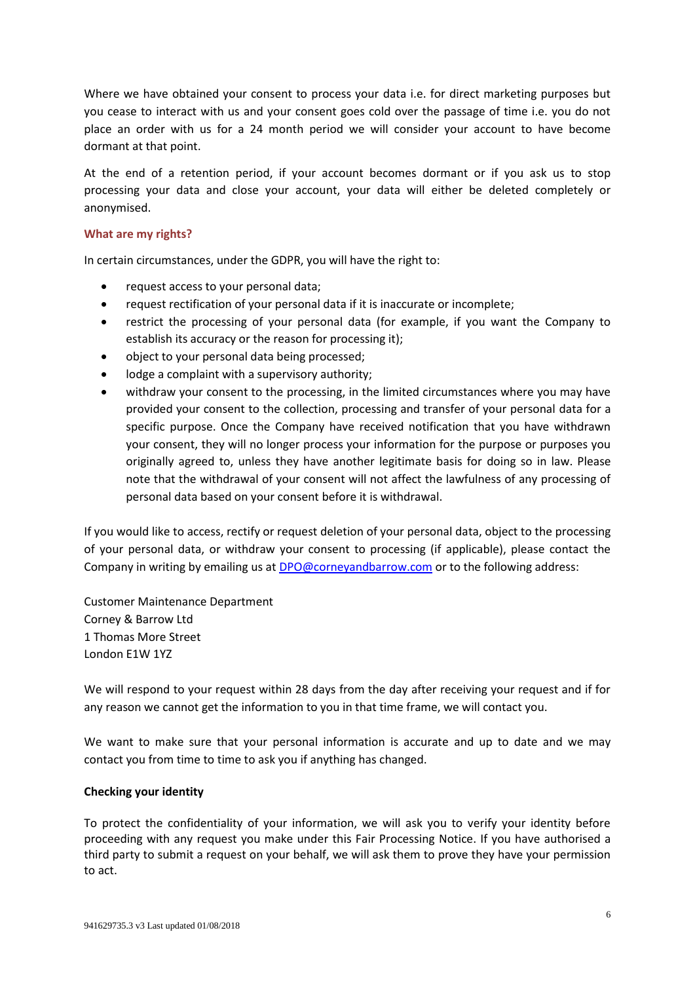Where we have obtained your consent to process your data i.e. for direct marketing purposes but you cease to interact with us and your consent goes cold over the passage of time i.e. you do not place an order with us for a 24 month period we will consider your account to have become dormant at that point.

At the end of a retention period, if your account becomes dormant or if you ask us to stop processing your data and close your account, your data will either be deleted completely or anonymised.

#### **What are my rights?**

In certain circumstances, under the GDPR, you will have the right to:

- request access to your personal data;
- request rectification of your personal data if it is inaccurate or incomplete;
- restrict the processing of your personal data (for example, if you want the Company to establish its accuracy or the reason for processing it);
- object to your personal data being processed;
- lodge a complaint with a supervisory authority;
- withdraw your consent to the processing, in the limited circumstances where you may have provided your consent to the collection, processing and transfer of your personal data for a specific purpose. Once the Company have received notification that you have withdrawn your consent, they will no longer process your information for the purpose or purposes you originally agreed to, unless they have another legitimate basis for doing so in law. Please note that the withdrawal of your consent will not affect the lawfulness of any processing of personal data based on your consent before it is withdrawal.

If you would like to access, rectify or request deletion of your personal data, object to the processing of your personal data, or withdraw your consent to processing (if applicable), please contact the Company in writing by emailing us at [DPO@corneyandbarrow.com](mailto:DPO@corneyandbarrow.com) or to the following address:

Customer Maintenance Department Corney & Barrow Ltd 1 Thomas More Street London E1W 1YZ

We will respond to your request within 28 days from the day after receiving your request and if for any reason we cannot get the information to you in that time frame, we will contact you.

We want to make sure that your personal information is accurate and up to date and we may contact you from time to time to ask you if anything has changed.

## **Checking your identity**

To protect the confidentiality of your information, we will ask you to verify your identity before proceeding with any request you make under this Fair Processing Notice. If you have authorised a third party to submit a request on your behalf, we will ask them to prove they have your permission to act.